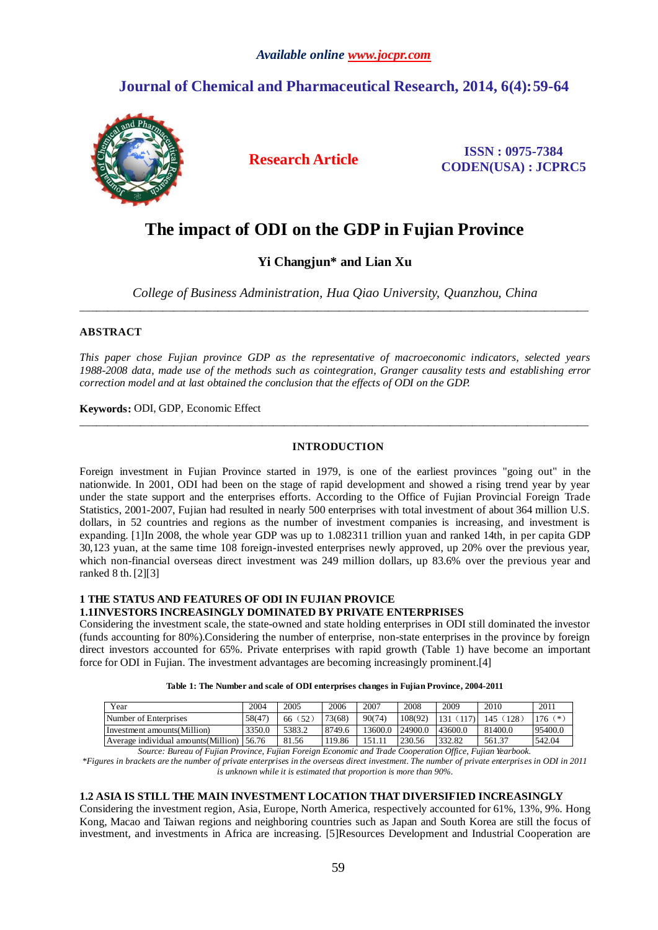# *Available online www.jocpr.com*

# **Journal of Chemical and Pharmaceutical Research, 2014, 6(4):59-64**



**Research Article ISSN : 0975-7384 CODEN(USA) : JCPRC5**

# **The impact of ODI on the GDP in Fujian Province**

# **Yi Changjun\* and Lian Xu**

*College of Business Administration, Hua Qiao University, Quanzhou, China* \_\_\_\_\_\_\_\_\_\_\_\_\_\_\_\_\_\_\_\_\_\_\_\_\_\_\_\_\_\_\_\_\_\_\_\_\_\_\_\_\_\_\_\_\_\_\_\_\_\_\_\_\_\_\_\_\_\_\_\_\_\_\_\_\_\_\_\_\_\_\_\_\_\_\_\_\_\_\_\_\_\_\_\_\_\_\_\_\_\_\_\_

# **ABSTRACT**

*This paper chose Fujian province GDP as the representative of macroeconomic indicators, selected years 1988-2008 data, made use of the methods such as cointegration, Granger causality tests and establishing error correction model and at last obtained the conclusion that the effects of ODI on the GDP.*

**Keywords:** ODI, GDP, Economic Effect

# **INTRODUCTION**

\_\_\_\_\_\_\_\_\_\_\_\_\_\_\_\_\_\_\_\_\_\_\_\_\_\_\_\_\_\_\_\_\_\_\_\_\_\_\_\_\_\_\_\_\_\_\_\_\_\_\_\_\_\_\_\_\_\_\_\_\_\_\_\_\_\_\_\_\_\_\_\_\_\_\_\_\_\_\_\_\_\_\_\_\_\_\_\_\_\_\_\_

Foreign investment in Fujian Province started in 1979, is one of the earliest provinces "going out" in the nationwide. In 2001, ODI had been on the stage of rapid development and showed a rising trend year by year under the state support and the enterprises efforts. According to the Office of Fujian Provincial Foreign Trade Statistics, 2001-2007, Fujian had resulted in nearly 500 enterprises with total investment of about 364 million U.S. dollars, in 52 countries and regions as the number of investment companies is increasing, and investment is expanding. [1]In 2008, the whole year GDP was up to 1.082311 trillion yuan and ranked 14th, in per capita GDP 30,123 yuan, at the same time 108 foreign-invested enterprises newly approved, up 20% over the previous year, which non-financial overseas direct investment was 249 million dollars, up 83.6% over the previous year and ranked 8 th.[2][3]

# **1 THE STATUS AND FEATURES OF ODI IN FUJIAN PROVICE 1.1INVESTORS INCREASINGLY DOMINATED BY PRIVATE ENTERPRISES**

Considering the investment scale, the state-owned and state holding enterprises in ODI still dominated the investor (funds accounting for 80%).Considering the number of enterprise, non-state enterprises in the province by foreign direct investors accounted for 65%. Private enterprises with rapid growth (Table 1) have become an important force for ODI in Fujian. The investment advantages are becoming increasingly prominent.[4]

| Table 1: The Number and scale of ODI enterprises changes in Fujian Province, 2004-2011 |  |
|----------------------------------------------------------------------------------------|--|
|----------------------------------------------------------------------------------------|--|

| Year                                 | 2004   | 2005               | 2006   | 2007    | 2008    | 2009    | 2010       | 2011        |
|--------------------------------------|--------|--------------------|--------|---------|---------|---------|------------|-------------|
| Number of Enterprises                | 58(47) | $52^{\circ}$<br>66 | 73(68) | 90(74)  | 108(92) | 131     | 128<br>145 | ั≭ะ<br>176. |
| Investment amounts (Million)         | 3350.0 | 5383.2             | 8749.6 | 13600.0 | 24900.0 | 43600.0 | 81400.0    | 95400.0     |
| Average individual amounts (Million) | 56.76  | 81.56              | 119.86 | 151.11  | 230.56  | 332.82  | 561.37     | 542.04      |

*Source: Bureau of Fujian Province, Fujian Foreign Economic and Trade Cooperation Office, Fujian Yearbook. \*Figures in brackets are the number of private enterprises in the overseas direct investment. The number of private enterprises in ODI in 2011 is unknown while it is estimated that proportion is more than 90%.*

#### **1.2 ASIA IS STILL THE MAIN INVESTMENT LOCATION THAT DIVERSIFIED INCREASINGLY**

Considering the investment region, Asia, Europe, North America, respectively accounted for 61%, 13%, 9%. Hong Kong, Macao and Taiwan regions and neighboring countries such as Japan and South Korea are still the focus of investment, and investments in Africa are increasing. [5]Resources Development and Industrial Cooperation are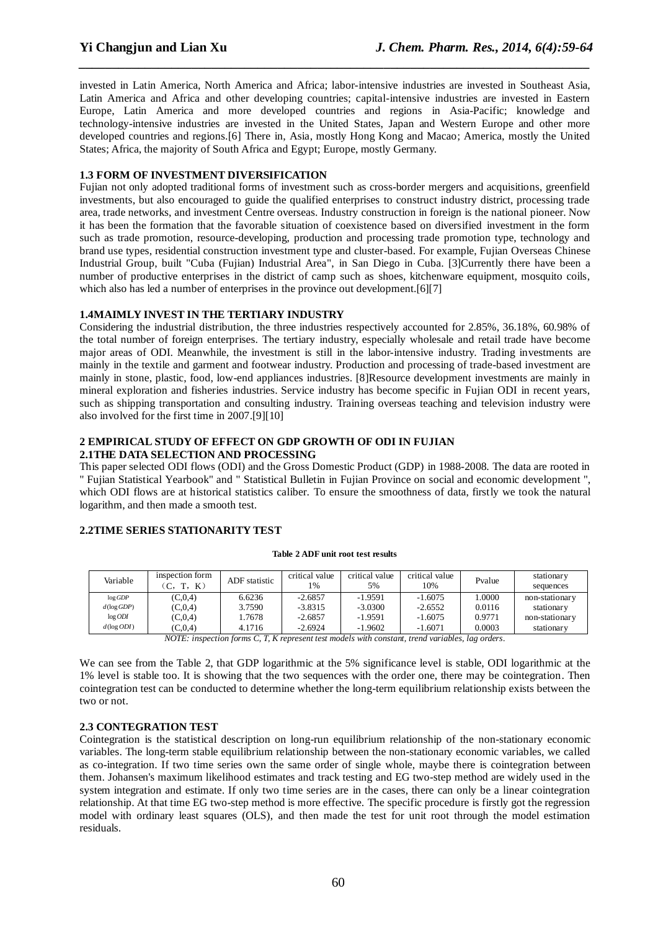invested in Latin America, North America and Africa; labor-intensive industries are invested in Southeast Asia, Latin America and Africa and other developing countries; capital-intensive industries are invested in Eastern Europe, Latin America and more developed countries and regions in Asia-Pacific; knowledge and technology-intensive industries are invested in the United States, Japan and Western Europe and other more developed countries and regions.[6] There in, Asia, mostly Hong Kong and Macao; America, mostly the United States; Africa, the majority of South Africa and Egypt; Europe, mostly Germany.

*\_\_\_\_\_\_\_\_\_\_\_\_\_\_\_\_\_\_\_\_\_\_\_\_\_\_\_\_\_\_\_\_\_\_\_\_\_\_\_\_\_\_\_\_\_\_\_\_\_\_\_\_\_\_\_\_\_\_\_\_\_\_\_\_\_\_\_\_\_\_\_\_\_\_\_\_\_*

# **1.3 FORM OF INVESTMENT DIVERSIFICATION**

Fujian not only adopted traditional forms of investment such as cross-border mergers and acquisitions, greenfield investments, but also encouraged to guide the qualified enterprises to construct industry district, processing trade area, trade networks, and investment Centre overseas. Industry construction in foreign is the national pioneer. Now it has been the formation that the favorable situation of coexistence based on diversified investment in the form such as trade promotion, resource-developing, production and processing trade promotion type, technology and brand use types, residential construction investment type and cluster-based. For example, Fujian Overseas Chinese Industrial Group, built "Cuba (Fujian) Industrial Area", in San Diego in Cuba. [3]Currently there have been a number of productive enterprises in the district of camp such as shoes, kitchenware equipment, mosquito coils, which also has led a number of enterprises in the province out development.[6][7]

# **1.4MAIMLY INVEST IN THE TERTIARY INDUSTRY**

Considering the industrial distribution, the three industries respectively accounted for 2.85%, 36.18%, 60.98% of the total number of foreign enterprises. The tertiary industry, especially wholesale and retail trade have become major areas of ODI. Meanwhile, the investment is still in the labor-intensive industry. Trading investments are mainly in the textile and garment and footwear industry. Production and processing of trade-based investment are mainly in stone, plastic, food, low-end appliances industries. [8]Resource development investments are mainly in mineral exploration and fisheries industries. Service industry has become specific in Fujian ODI in recent years, such as shipping transportation and consulting industry. Training overseas teaching and television industry were also involved for the first time in 2007.[9][10]

# **2 EMPIRICAL STUDY OF EFFECT ON GDP GROWTH OF ODI IN FUJIAN 2.1THE DATA SELECTION AND PROCESSING**

This paper selected ODI flows (ODI) and the Gross Domestic Product (GDP) in 1988-2008. The data are rooted in " Fujian Statistical Yearbook" and " Statistical Bulletin in Fujian Province on social and economic development ", which ODI flows are at historical statistics caliber. To ensure the smoothness of data, firstly we took the natural logarithm, and then made a smooth test.

# **2.2TIME SERIES STATIONARITY TEST**

#### **Table 2 ADF unit root test results**

| Variable         | inspection form<br>K) | ADF statistic | critical value<br>1% | critical value<br>5% | critical value<br>10% | Pvalue | stationary<br>sequences |
|------------------|-----------------------|---------------|----------------------|----------------------|-----------------------|--------|-------------------------|
| log GDP          | (C.0.4)               | 6.6236        | $-2.6857$            | $-1.9591$            | $-1.6075$             | .0000  | non-stationary          |
| $d(\log GDP)$    | (C, 0, 4)             | 3.7590        | $-3.8315$            | $-3.0300$            | $-2.6552$             | 0.0116 | stationary              |
| $log$ <i>ODI</i> | (C, 0, 4)             | 1.7678        | $-2.6857$            | $-1.9591$            | $-1.6075$             | 0.9771 | non-stationary          |
| $d(\log ODI)$    | (C, 0, 4)             | 4.1716        | $-2.6924$            | $-1.9602$            | $-1.6071$             | 0.0003 | stationary              |
|                  |                       |               |                      |                      |                       |        |                         |

*NOTE: inspection forms C, T, K represent test models with constant, trend variables, lag orders.*

We can see from the Table 2, that GDP logarithmic at the 5% significance level is stable, ODI logarithmic at the 1% level is stable too. It is showing that the two sequences with the order one, there may be cointegration. Then cointegration test can be conducted to determine whether the long-term equilibrium relationship exists between the two or not.

# **2.3 CONTEGRATION TEST**

Cointegration is the statistical description on long-run equilibrium relationship of the non-stationary economic variables. The long-term stable equilibrium relationship between the non-stationary economic variables, we called as co-integration. If two time series own the same order of single whole, maybe there is cointegration between them. Johansen's maximum likelihood estimates and track testing and EG two-step method are widely used in the system integration and estimate. If only two time series are in the cases, there can only be a linear cointegration relationship. At that time EG two-step method is more effective. The specific procedure is firstly got the regression model with ordinary least squares (OLS), and then made the test for unit root through the model estimation residuals.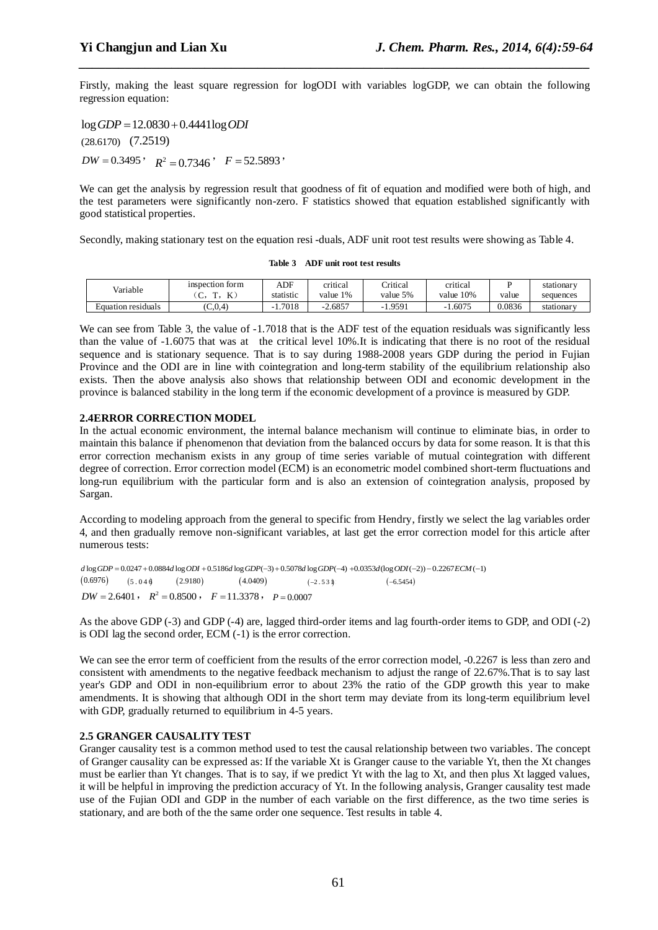Firstly, making the least square regression for logODI with variables logGDP, we can obtain the following regression equation:

*\_\_\_\_\_\_\_\_\_\_\_\_\_\_\_\_\_\_\_\_\_\_\_\_\_\_\_\_\_\_\_\_\_\_\_\_\_\_\_\_\_\_\_\_\_\_\_\_\_\_\_\_\_\_\_\_\_\_\_\_\_\_\_\_\_\_\_\_\_\_\_\_\_\_\_\_\_*

 $log GDP = 12.0830 + 0.4441log ODI$ (28.6170) (7.2519)  $DW = 0.3495$ ,  $R^2 = 0.7346$ ,  $F = 52.5893$ 

We can get the analysis by regression result that goodness of fit of equation and modified were both of high, and the test parameters were significantly non-zero. F statistics showed that equation established significantly with good statistical properties.

Secondly, making stationary test on the equation resi -duals, ADF unit root test results were showing as Table 4.

**Table 3 ADF unit root test results**

| Variable           | inspection form<br>T.<br>m<br>$\overline{\phantom{0}}$<br>J, | ADF<br>statistic | critical<br>value 1% | <b>Tritical</b><br>value 5% | critical<br>10%<br>value | value  | stationary<br>sequences |
|--------------------|--------------------------------------------------------------|------------------|----------------------|-----------------------------|--------------------------|--------|-------------------------|
| Equation residuals | (C.0.4)                                                      | .7018            | 2.6857               | 9591                        | .6075                    | 0.0836 | stationary              |

We can see from Table 3, the value of  $-1.7018$  that is the ADF test of the equation residuals was significantly less than the value of -1.6075 that was at the critical level 10%.It is indicating that there is no root of the residual sequence and is stationary sequence. That is to say during 1988-2008 years GDP during the period in Fujian Province and the ODI are in line with cointegration and long-term stability of the equilibrium relationship also exists. Then the above analysis also shows that relationship between ODI and economic development in the province is balanced stability in the long term if the economic development of a province is measured by GDP.

# **2.4ERROR CORRECTION MODEL**

In the actual economic environment, the internal balance mechanism will continue to eliminate bias, in order to maintain this balance if phenomenon that deviation from the balanced occurs by data for some reason. It is that this error correction mechanism exists in any group of time series variable of mutual cointegration with different degree of correction. Error correction model (ECM) is an econometric model combined short-term fluctuations and long-run equilibrium with the particular form and is also an extension of cointegration analysis, proposed by Sargan.

According to modeling approach from the general to specific from Hendry, firstly we select the lag variables order 4, and then gradually remove non-significant variables, at last get the error correction model for this article after numerous tests:

*d* log *GDP* = 0.0247 + 0.0884*d* log *ODI* + 0.5186*d* log *GDP* (-3) + 0.5078*d* log *GDP* (-4) + 0.0353*d* (log *ODI* (-2)) - 0.2267 *ECM* (-1) <br>(0.6976)  $(5.04\text{ Å})$   $(2.9180)$   $(4.0409)$   $(-2.53\text{ Å})$   $(-6.5454)$  $(5.04\text{)}$  $(2.9180)$  $(4.0409)$  $(-2.531)$  $(-6.5454)$  $DW = 2.6401$ ,  $R^2 = 0.8500$ ,  $F = 11.3378$ ,  $P = 0.0007$ 

As the above GDP (-3) and GDP (-4) are, lagged third-order items and lag fourth-order items to GDP, and ODI (-2) is ODI lag the second order, ECM (-1) is the error correction.

We can see the error term of coefficient from the results of the error correction model, -0.2267 is less than zero and consistent with amendments to the negative feedback mechanism to adjust the range of 22.67%.That is to say last year's GDP and ODI in non-equilibrium error to about 23% the ratio of the GDP growth this year to make amendments. It is showing that although ODI in the short term may deviate from its long-term equilibrium level with GDP, gradually returned to equilibrium in 4-5 years.

# **2.5 GRANGER CAUSALITY TEST**

Granger causality test is a common method used to test the causal relationship between two variables. The concept of Granger causality can be expressed as: If the variable Xt is Granger cause to the variable Yt, then the Xt changes must be earlier than Yt changes. That is to say, if we predict Yt with the lag to Xt, and then plus Xt lagged values, it will be helpful in improving the prediction accuracy of Yt. In the following analysis, Granger causality test made use of the Fujian ODI and GDP in the number of each variable on the first difference, as the two time series is stationary, and are both of the the same order one sequence. Test results in table 4.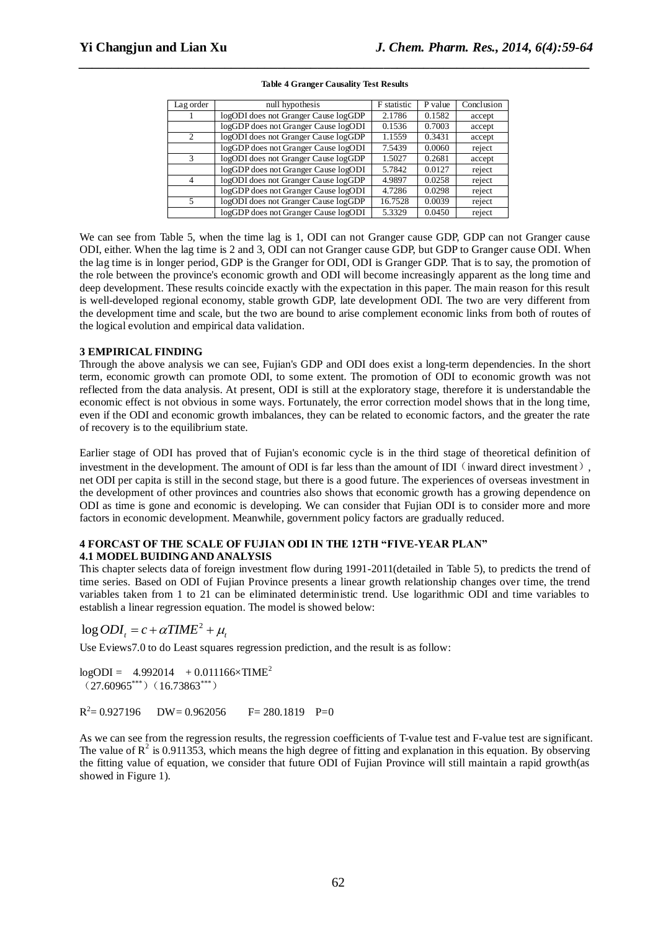| Lag order      | null hypothesis                      | F statistic | P value | Conclusion |
|----------------|--------------------------------------|-------------|---------|------------|
|                | logODI does not Granger Cause logGDP | 2.1786      | 0.1582  | accept     |
|                | logGDP does not Granger Cause logODI | 0.1536      | 0.7003  | accept     |
| $\mathfrak{D}$ | logODI does not Granger Cause logGDP | 1.1559      | 0.3431  | accept     |
|                | logGDP does not Granger Cause logODI | 7.5439      | 0.0060  | reject     |
| $\mathcal{R}$  | logODI does not Granger Cause logGDP | 1.5027      | 0.2681  | accept     |
|                | logGDP does not Granger Cause logODI | 5.7842      | 0.0127  | reject     |
| 4              | logODI does not Granger Cause logGDP | 4.9897      | 0.0258  | reject     |
|                | logGDP does not Granger Cause logODI | 4.7286      | 0.0298  | reject     |
| 5              | logODI does not Granger Cause logGDP | 16.7528     | 0.0039  | reject     |
|                | logGDP does not Granger Cause logODI | 5.3329      | 0.0450  | reject     |

#### **Table 4 Granger Causality Test Results**

*\_\_\_\_\_\_\_\_\_\_\_\_\_\_\_\_\_\_\_\_\_\_\_\_\_\_\_\_\_\_\_\_\_\_\_\_\_\_\_\_\_\_\_\_\_\_\_\_\_\_\_\_\_\_\_\_\_\_\_\_\_\_\_\_\_\_\_\_\_\_\_\_\_\_\_\_\_*

We can see from Table 5, when the time lag is 1, ODI can not Granger cause GDP, GDP can not Granger cause ODI, either. When the lag time is 2 and 3, ODI can not Granger cause GDP, but GDP to Granger cause ODI. When the lag time is in longer period, GDP is the Granger for ODI, ODI is Granger GDP. That is to say, the promotion of the role between the province's economic growth and ODI will become increasingly apparent as the long time and deep development. These results coincide exactly with the expectation in this paper. The main reason for this result is well-developed regional economy, stable growth GDP, late development ODI. The two are very different from the development time and scale, but the two are bound to arise complement economic links from both of routes of the logical evolution and empirical data validation.

# **3 EMPIRICAL FINDING**

Through the above analysis we can see, Fujian's GDP and ODI does exist a long-term dependencies. In the short term, economic growth can promote ODI, to some extent. The promotion of ODI to economic growth was not reflected from the data analysis. At present, ODI is still at the exploratory stage, therefore it is understandable the economic effect is not obvious in some ways. Fortunately, the error correction model shows that in the long time, even if the ODI and economic growth imbalances, they can be related to economic factors, and the greater the rate of recovery is to the equilibrium state.

Earlier stage of ODI has proved that of Fujian's economic cycle is in the third stage of theoretical definition of investment in the development. The amount of ODI is far less than the amount of IDI  $\langle$  inward direct investment), net ODI per capita is still in the second stage, but there is a good future. The experiences of overseas investment in the development of other provinces and countries also shows that economic growth has a growing dependence on ODI as time is gone and economic is developing. We can consider that Fujian ODI is to consider more and more factors in economic development. Meanwhile, government policy factors are gradually reduced.

# **4 FORCAST OF THE SCALE OF FUJIAN ODI IN THE 12TH "FIVE-YEAR PLAN" 4.1 MODEL BUIDING AND ANALYSIS**

This chapter selects data of foreign investment flow during 1991-2011(detailed in Table 5), to predicts the trend of time series. Based on ODI of Fujian Province presents a linear growth relationship changes over time, the trend variables taken from 1 to 21 can be eliminated deterministic trend. Use logarithmic ODI and time variables to establish a linear regression equation. The model is showed below:

# $\log ODI_t = c + \alpha TIME^2 + \mu_t$

Use Eviews7.0 to do Least squares regression prediction, and the result is as follow:

 $logODI = 4.992014 + 0.011166 \times TIME^2$  $(27.60965***)(16.73863***)$ 

 $R^2$  $DW = 0.962056$  F= 280.1819 P=0

As we can see from the regression results, the regression coefficients of T-value test and F-value test are significant. The value of  $R^2$  is 0.911353, which means the high degree of fitting and explanation in this equation. By observing the fitting value of equation, we consider that future ODI of Fujian Province will still maintain a rapid growth(as showed in Figure 1).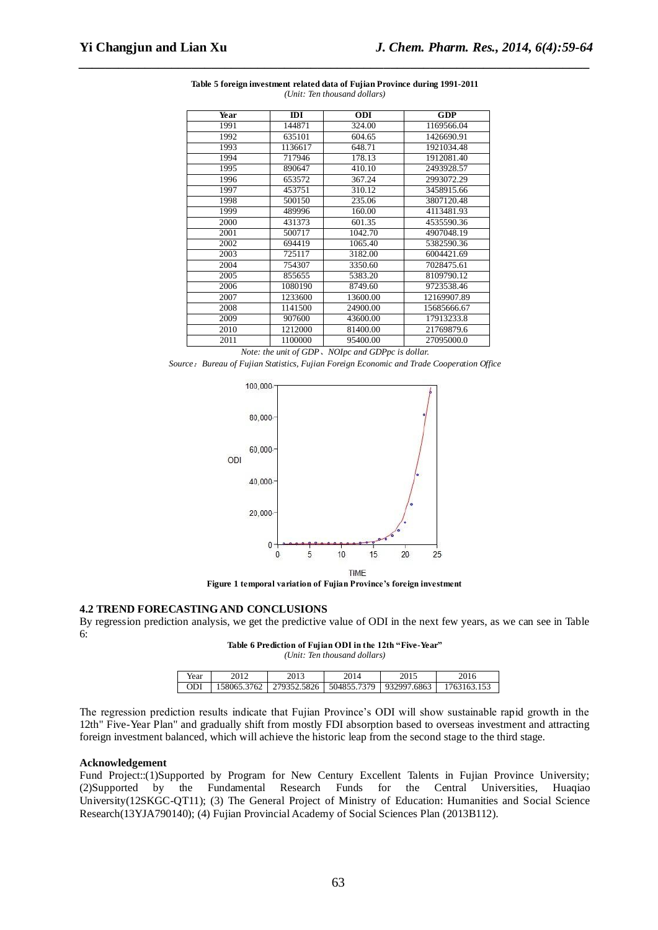| Year | IDI     | <b>ODI</b> | <b>GDP</b>  |
|------|---------|------------|-------------|
| 1991 | 144871  | 324.00     | 1169566.04  |
| 1992 | 635101  | 604.65     | 1426690.91  |
| 1993 | 1136617 | 648.71     | 1921034.48  |
| 1994 | 717946  | 178.13     | 1912081.40  |
| 1995 | 890647  | 410.10     | 2493928.57  |
| 1996 | 653572  | 367.24     | 2993072.29  |
| 1997 | 453751  | 310.12     | 3458915.66  |
| 1998 | 500150  | 235.06     | 3807120.48  |
| 1999 | 489996  | 160.00     | 4113481.93  |
| 2000 | 431373  | 601.35     | 4535590.36  |
| 2001 | 500717  | 1042.70    | 4907048.19  |
| 2002 | 694419  | 1065.40    | 5382590.36  |
| 2003 | 725117  | 3182.00    | 6004421.69  |
| 2004 | 754307  | 3350.60    | 7028475.61  |
| 2005 | 855655  | 5383.20    | 8109790.12  |
| 2006 | 1080190 | 8749.60    | 9723538.46  |
| 2007 | 1233600 | 13600.00   | 12169907.89 |
| 2008 | 1141500 | 24900.00   | 15685666.67 |
| 2009 | 907600  | 43600.00   | 17913233.8  |
| 2010 | 1212000 | 81400.00   | 21769879.6  |
| 2011 | 1100000 | 95400.00   | 27095000.0  |

**Table 5 foreign investment related data of Fujian Province during 1991-2011** *(Unit: Ten thousand dollars)*

*\_\_\_\_\_\_\_\_\_\_\_\_\_\_\_\_\_\_\_\_\_\_\_\_\_\_\_\_\_\_\_\_\_\_\_\_\_\_\_\_\_\_\_\_\_\_\_\_\_\_\_\_\_\_\_\_\_\_\_\_\_\_\_\_\_\_\_\_\_\_\_\_\_\_\_\_\_*

*Note: the unit of GDP*、*NOIpc and GDPpc is dollar.*

*Source*:*Bureau of Fujian Statistics, Fujian Foreign Economic and Trade Cooperation Office*



**Figure 1 temporal variation of Fujian Province's foreign investment**

### **4.2 TREND FORECASTING AND CONCLUSIONS**

By regression prediction analysis, we get the predictive value of ODI in the next few years, as we can see in Table 6:

**Table 6 Prediction of Fujian ODI in the 12th "Five-Year"** *(Unit: Ten thousand dollars)*

| Year       | 2013                                                  | 2014 | 2015 |             |
|------------|-------------------------------------------------------|------|------|-------------|
|            |                                                       |      |      |             |
| <b>ODI</b> | 158065.3762   279352.5826   504855.7379   932997.6863 |      |      | 1763163.153 |

The regression prediction results indicate that Fujian Province's ODI will show sustainable rapid growth in the 12th" Five-Year Plan" and gradually shift from mostly FDI absorption based to overseas investment and attracting foreign investment balanced, which will achieve the historic leap from the second stage to the third stage.

# **Acknowledgement**

Fund Project::(1)Supported by Program for New Century Excellent Talents in Fujian Province University; (2)Supported by the Fundamental Research Funds for the Central Universities, Huaqiao University(12SKGC-QT11); (3) The General Project of Ministry of Education: Humanities and Social Science Research(13YJA790140); (4) Fujian Provincial Academy of Social Sciences Plan (2013B112).